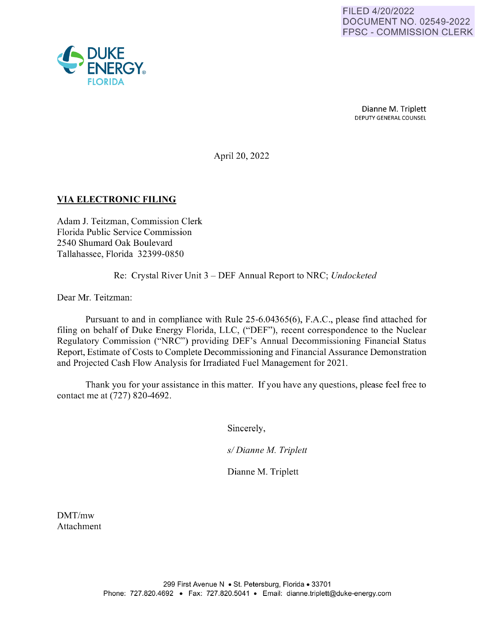

Dianne M. Triplett DEPUTY GENERAL COUNSEL

April 20, 2022

#### **VIA ELECTRONIC FILING**

Adam J. Teitzman, Commission Clerk Florida Public Service Commission 2540 Shumard Oak Boulevard Tallahassee, Florida 32399-0850

Re: Crystal River Unit 3 - DEF Annual Report to NRC; *Undocketed* 

Dear Mr. Teitzman:

Pursuant to and in compliance with Rule 25-6.04365(6), F.A.C., please find attached for filing on behalf of Duke Energy Florida, LLC, ("DEF"), recent correspondence to the Nuclear Regulatory Commission ("NRC'') providing DEF's Annual Decommissioning Financial Status Report, Estimate of Costs to Complete Decommissioning and Financial Assurance Demonstration and Projected Cash Flow Analysis for Irradiated Fuel Management for 2021.

Thank you for your assistance in this matter. If you have any questions, please feel free to contact me at (727) 820-4692.

Sincerely,

*sl Dianne M. Triplett* 

Dianne M. Triplett

DMT/mw Attachment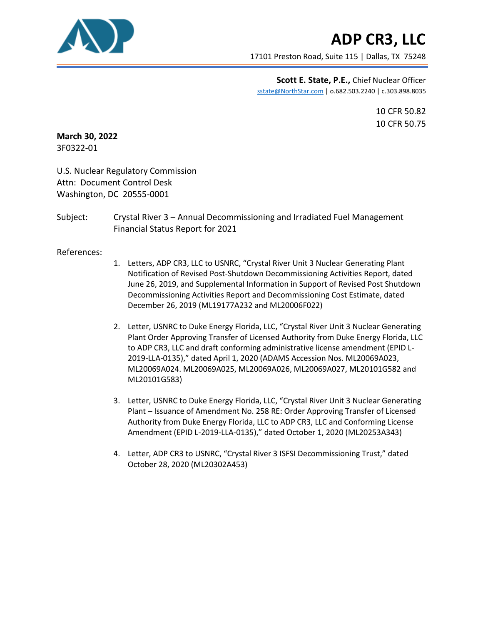

17101 Preston Road, Suite 115 | Dallas, TX 75248

**Scott E. State, P.E.,** Chief Nuclear Officer sstate@NorthStar.com | o.682.503.2240 | c.303.898.8035

> 10 CFR 50.82 10 CFR 50.75

**March 30, 2022** 3F0322-01

U.S. Nuclear Regulatory Commission Attn: Document Control Desk Washington, DC 20555-0001

Subject: Crystal River 3 – Annual Decommissioning and Irradiated Fuel Management Financial Status Report for 2021

References:

- 1. Letters, ADP CR3, LLC to USNRC, "Crystal River Unit 3 Nuclear Generating Plant Notification of Revised Post-Shutdown Decommissioning Activities Report, dated June 26, 2019, and Supplemental Information in Support of Revised Post Shutdown Decommissioning Activities Report and Decommissioning Cost Estimate, dated December 26, 2019 (ML19177A232 and ML20006F022)
- 2. Letter, USNRC to Duke Energy Florida, LLC, "Crystal River Unit 3 Nuclear Generating Plant Order Approving Transfer of Licensed Authority from Duke Energy Florida, LLC to ADP CR3, LLC and draft conforming administrative license amendment (EPID L-2019-LLA-0135)," dated April 1, 2020 (ADAMS Accession Nos. ML20069A023, ML20069A024. ML20069A025, ML20069A026, ML20069A027, ML20101G582 and ML20101G583)
- 3. Letter, USNRC to Duke Energy Florida, LLC, "Crystal River Unit 3 Nuclear Generating Plant – Issuance of Amendment No. 258 RE: Order Approving Transfer of Licensed Authority from Duke Energy Florida, LLC to ADP CR3, LLC and Conforming License Amendment (EPID L-2019-LLA-0135)," dated October 1, 2020 (ML20253A343)
- 4. Letter, ADP CR3 to USNRC, "Crystal River 3 ISFSI Decommissioning Trust," dated October 28, 2020 (ML20302A453)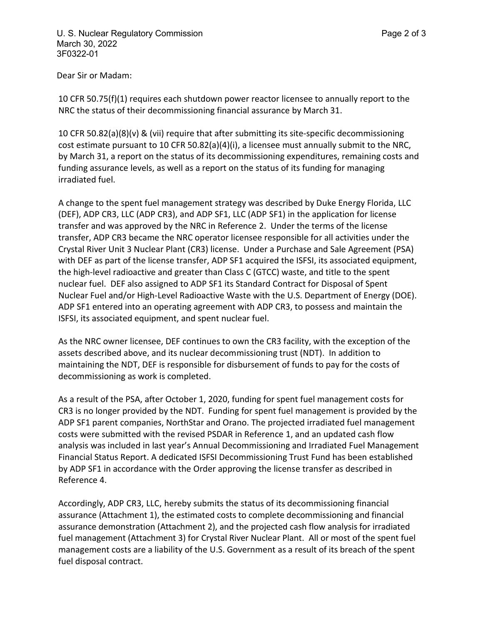Dear Sir or Madam:

10 CFR 50.75(f)(1) requires each shutdown power reactor licensee to annually report to the NRC the status of their decommissioning financial assurance by March 31.

10 CFR 50.82(a)(8)(v) & (vii) require that after submitting its site-specific decommissioning cost estimate pursuant to 10 CFR 50.82(a)(4)(i), a licensee must annually submit to the NRC, by March 31, a report on the status of its decommissioning expenditures, remaining costs and funding assurance levels, as well as a report on the status of its funding for managing irradiated fuel.

A change to the spent fuel management strategy was described by Duke Energy Florida, LLC (DEF), ADP CR3, LLC (ADP CR3), and ADP SF1, LLC (ADP SF1) in the application for license transfer and was approved by the NRC in Reference 2. Under the terms of the license transfer, ADP CR3 became the NRC operator licensee responsible for all activities under the Crystal River Unit 3 Nuclear Plant (CR3) license. Under a Purchase and Sale Agreement (PSA) with DEF as part of the license transfer, ADP SF1 acquired the ISFSI, its associated equipment, the high-level radioactive and greater than Class C (GTCC) waste, and title to the spent nuclear fuel. DEF also assigned to ADP SF1 its Standard Contract for Disposal of Spent Nuclear Fuel and/or High-Level Radioactive Waste with the U.S. Department of Energy (DOE). ADP SF1 entered into an operating agreement with ADP CR3, to possess and maintain the ISFSI, its associated equipment, and spent nuclear fuel.

As the NRC owner licensee, DEF continues to own the CR3 facility, with the exception of the assets described above, and its nuclear decommissioning trust (NDT). In addition to maintaining the NDT, DEF is responsible for disbursement of funds to pay for the costs of decommissioning as work is completed.

As a result of the PSA, after October 1, 2020, funding for spent fuel management costs for CR3 is no longer provided by the NDT. Funding for spent fuel management is provided by the ADP SF1 parent companies, NorthStar and Orano. The projected irradiated fuel management costs were submitted with the revised PSDAR in Reference 1, and an updated cash flow analysis was included in last year's Annual Decommissioning and Irradiated Fuel Management Financial Status Report. A dedicated ISFSI Decommissioning Trust Fund has been established by ADP SF1 in accordance with the Order approving the license transfer as described in Reference 4.

Accordingly, ADP CR3, LLC, hereby submits the status of its decommissioning financial assurance (Attachment 1), the estimated costs to complete decommissioning and financial assurance demonstration (Attachment 2), and the projected cash flow analysis for irradiated fuel management (Attachment 3) for Crystal River Nuclear Plant. All or most of the spent fuel management costs are a liability of the U.S. Government as a result of its breach of the spent fuel disposal contract.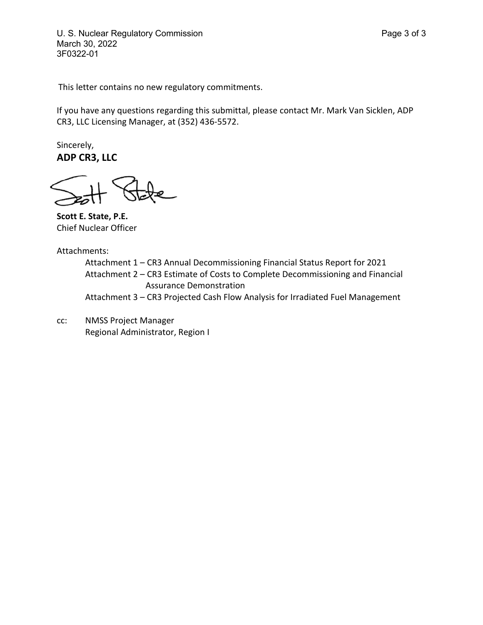U. S. Nuclear Regulatory Commission **Page 3 of 3** March 30, 2022 3F0322-01

This letter contains no new regulatory commitments.

If you have any questions regarding this submittal, please contact Mr. Mark Van Sicklen, ADP CR3, LLC Licensing Manager, at (352) 436-5572.

Sincerely, **ADP CR3, LLC**

**Scott E. State, P.E.** Chief Nuclear Officer

Attachments:

Attachment 1 – CR3 Annual Decommissioning Financial Status Report for 2021 Attachment 2 – CR3 Estimate of Costs to Complete Decommissioning and Financial Assurance Demonstration Attachment 3 – CR3 Projected Cash Flow Analysis for Irradiated Fuel Management

cc: NMSS Project Manager Regional Administrator, Region I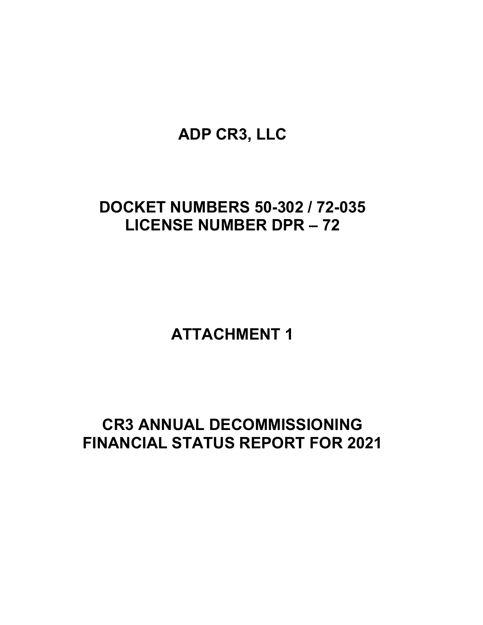# **DOCKET NUMBERS 50-302 / 72-035 LICENSE NUMBER DPR – 72**

**ATTACHMENT 1** 

# **CR3 ANNUAL DECOMMISSIONING FINANCIAL STATUS REPORT FOR 2021**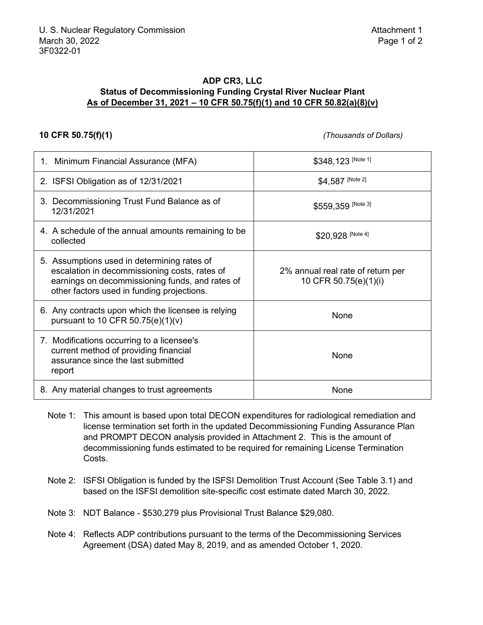#### **ADP CR3, LLC Status of Decommissioning Funding Crystal River Nuclear Plant As of December 31, 2021 – 10 CFR 50.75(f)(1) and 10 CFR 50.82(a)(8)(v)**

**10 CFR 50.75(f)(1)** *(Thousands of Dollars)*

| 1. Minimum Financial Assurance (MFA)                                                                                                                                                          | \$348, 123 [Note 1]                                        |
|-----------------------------------------------------------------------------------------------------------------------------------------------------------------------------------------------|------------------------------------------------------------|
| 2. ISFSI Obligation as of 12/31/2021                                                                                                                                                          | \$4,587 [Note 2]                                           |
| 3. Decommissioning Trust Fund Balance as of<br>12/31/2021                                                                                                                                     | \$559,359 [Note 3]                                         |
| 4. A schedule of the annual amounts remaining to be<br>collected                                                                                                                              | \$20,928 [Note 4]                                          |
| 5. Assumptions used in determining rates of<br>escalation in decommissioning costs, rates of<br>earnings on decommissioning funds, and rates of<br>other factors used in funding projections. | 2% annual real rate of return per<br>10 CFR 50.75(e)(1)(i) |
| 6. Any contracts upon which the licensee is relying<br>pursuant to 10 CFR $50.75(e)(1)(v)$                                                                                                    | None                                                       |
| 7. Modifications occurring to a licensee's<br>current method of providing financial<br>assurance since the last submitted<br>report                                                           | None                                                       |
| 8. Any material changes to trust agreements                                                                                                                                                   | None                                                       |

- Note 1: This amount is based upon total DECON expenditures for radiological remediation and license termination set forth in the updated Decommissioning Funding Assurance Plan and PROMPT DECON analysis provided in Attachment 2. This is the amount of decommissioning funds estimated to be required for remaining License Termination Costs.
- Note 2: ISFSI Obligation is funded by the ISFSI Demolition Trust Account (See Table 3.1) and based on the ISFSI demolition site-specific cost estimate dated March 30, 2022.
- Note 3: NDT Balance \$530,279 plus Provisional Trust Balance \$29,080.
- Note 4: Reflects ADP contributions pursuant to the terms of the Decommissioning Services Agreement (DSA) dated May 8, 2019, and as amended October 1, 2020.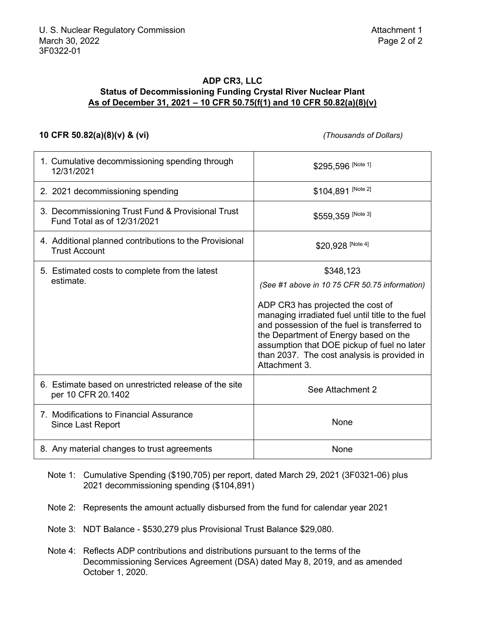#### **ADP CR3, LLC Status of Decommissioning Funding Crystal River Nuclear Plant As of December 31, 2021 – 10 CFR 50.75(f(1) and 10 CFR 50.82(a)(8)(v)**

#### **10 CFR 50.82(a)(8)(v) & (vi)** *(Thousands of Dollars)*

| 1. Cumulative decommissioning spending through<br>12/31/2021                     | \$295,596 [Note 1]                                                                                                                                                                                                                                                                            |
|----------------------------------------------------------------------------------|-----------------------------------------------------------------------------------------------------------------------------------------------------------------------------------------------------------------------------------------------------------------------------------------------|
| 2. 2021 decommissioning spending                                                 | \$104,891 [Note 2]                                                                                                                                                                                                                                                                            |
| 3. Decommissioning Trust Fund & Provisional Trust<br>Fund Total as of 12/31/2021 | \$559,359 [Note 3]                                                                                                                                                                                                                                                                            |
| 4. Additional planned contributions to the Provisional<br><b>Trust Account</b>   | \$20,928 [Note 4]                                                                                                                                                                                                                                                                             |
| 5. Estimated costs to complete from the latest                                   | \$348,123                                                                                                                                                                                                                                                                                     |
| estimate.                                                                        | (See #1 above in 10 75 CFR 50.75 information)                                                                                                                                                                                                                                                 |
|                                                                                  | ADP CR3 has projected the cost of<br>managing irradiated fuel until title to the fuel<br>and possession of the fuel is transferred to<br>the Department of Energy based on the<br>assumption that DOE pickup of fuel no later<br>than 2037. The cost analysis is provided in<br>Attachment 3. |
| 6. Estimate based on unrestricted release of the site<br>per 10 CFR 20.1402      | See Attachment 2                                                                                                                                                                                                                                                                              |
| 7. Modifications to Financial Assurance<br><b>Since Last Report</b>              | None                                                                                                                                                                                                                                                                                          |
| 8. Any material changes to trust agreements                                      | None                                                                                                                                                                                                                                                                                          |

Note 1: Cumulative Spending (\$190,705) per report, dated March 29, 2021 (3F0321-06) plus 2021 decommissioning spending (\$104,891)

Note 2: Represents the amount actually disbursed from the fund for calendar year 2021

Note 3: NDT Balance - \$530,279 plus Provisional Trust Balance \$29,080.

Note 4: Reflects ADP contributions and distributions pursuant to the terms of the Decommissioning Services Agreement (DSA) dated May 8, 2019, and as amended October 1, 2020.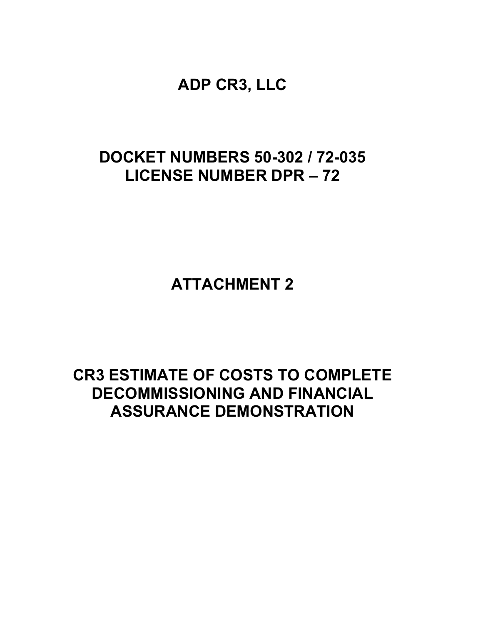## **DOCKET NUMBERS 50-302 / 72-035 LICENSE NUMBER DPR – 72**

**ATTACHMENT 2**

## **CR3 ESTIMATE OF COSTS TO COMPLETE DECOMMISSIONING AND FINANCIAL ASSURANCE DEMONSTRATION**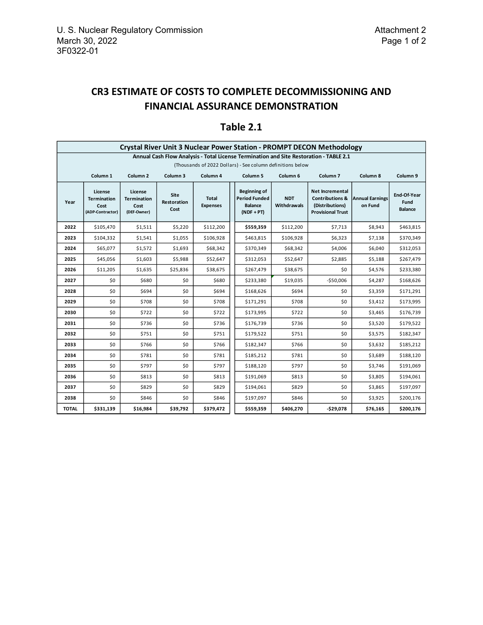## **CR3 ESTIMATE OF COSTS TO COMPLETE DECOMMISSIONING AND FINANCIAL ASSURANCE DEMONSTRATION**

|                                                                                        | <b>Crystal River Unit 3 Nuclear Power Station - PROMPT DECON Methodology</b>                                                                                    |                                                      |                             |                                 |                                                                        |                           |                                                                                                     |                                   |                                       |
|----------------------------------------------------------------------------------------|-----------------------------------------------------------------------------------------------------------------------------------------------------------------|------------------------------------------------------|-----------------------------|---------------------------------|------------------------------------------------------------------------|---------------------------|-----------------------------------------------------------------------------------------------------|-----------------------------------|---------------------------------------|
| Annual Cash Flow Analysis - Total License Termination and Site Restoration - TABLE 2.1 |                                                                                                                                                                 |                                                      |                             |                                 |                                                                        |                           |                                                                                                     |                                   |                                       |
|                                                                                        | (Thousands of 2022 Dollars) - See column definitions below                                                                                                      |                                                      |                             |                                 |                                                                        |                           |                                                                                                     |                                   |                                       |
|                                                                                        | Column <sub>1</sub><br>Column <sub>2</sub><br>Column 3<br>Column 4<br>Column <sub>5</sub><br>Column <sub>6</sub><br>Column <sub>7</sub><br>Column 8<br>Column 9 |                                                      |                             |                                 |                                                                        |                           |                                                                                                     |                                   |                                       |
| Year                                                                                   | License<br><b>Termination</b><br>Cost<br>(ADP-Contractor)                                                                                                       | License<br><b>Termination</b><br>Cost<br>(DEF-Owner) | Site<br>Restoration<br>Cost | <b>Total</b><br><b>Expenses</b> | Beginning of<br><b>Period Funded</b><br><b>Balance</b><br>$(NDF + PT)$ | <b>NDT</b><br>Withdrawals | <b>Net Incremental</b><br><b>Contributions &amp;</b><br>(Distributions)<br><b>Provisional Trust</b> | <b>Annual Earnings</b><br>on Fund | End-Of-Year<br>Fund<br><b>Balance</b> |
| 2022                                                                                   | \$105,470                                                                                                                                                       | \$1,511                                              | \$5,220                     | \$112,200                       | \$559,359                                                              | \$112,200                 | \$7,713                                                                                             | \$8,943                           | \$463,815                             |
| 2023                                                                                   | \$104,332                                                                                                                                                       | \$1,541                                              | \$1,055                     | \$106,928                       | \$463,815                                                              | \$106,928                 | \$6,323                                                                                             | \$7,138                           | \$370,349                             |
| 2024                                                                                   | \$65,077                                                                                                                                                        | \$1,572                                              | \$1,693                     | \$68,342                        | \$370,349                                                              | \$68,342                  | \$4,006                                                                                             | \$6,040                           | \$312,053                             |
| 2025                                                                                   | \$45,056                                                                                                                                                        | \$1,603                                              | \$5,988                     | \$52,647                        | \$312,053                                                              | \$52,647                  | \$2,885                                                                                             | \$5,188                           | \$267,479                             |
| 2026                                                                                   | \$11,205                                                                                                                                                        | \$1,635                                              | \$25,836                    | \$38,675                        | \$267,479                                                              | \$38,675                  | \$0                                                                                                 | \$4,576                           | \$233,380                             |
| 2027                                                                                   | \$0                                                                                                                                                             | \$680                                                | \$0                         | \$680                           | \$233,380                                                              | \$19,035                  | $-$50,006$                                                                                          | \$4,287                           | \$168,626                             |
| 2028                                                                                   | \$0                                                                                                                                                             | \$694                                                | \$0                         | \$694                           | \$168,626                                                              | \$694                     | \$0                                                                                                 | \$3,359                           | \$171,291                             |
| 2029                                                                                   | \$0                                                                                                                                                             | \$708                                                | \$0                         | \$708                           | \$171,291                                                              | \$708                     | \$0                                                                                                 | \$3,412                           | \$173,995                             |
| 2030                                                                                   | \$0                                                                                                                                                             | \$722                                                | \$0                         | \$722                           | \$173,995                                                              | \$722                     | \$0                                                                                                 | \$3,465                           | \$176,739                             |
| 2031                                                                                   | \$0                                                                                                                                                             | \$736                                                | \$0                         | \$736                           | \$176,739                                                              | \$736                     | \$0                                                                                                 | \$3,520                           | \$179,522                             |
| 2032                                                                                   | \$0                                                                                                                                                             | \$751                                                | \$0                         | \$751                           | \$179,522                                                              | \$751                     | \$0                                                                                                 | \$3,575                           | \$182,347                             |
| 2033                                                                                   | \$0                                                                                                                                                             | \$766                                                | \$0                         | \$766                           | \$182,347                                                              | \$766                     | \$0                                                                                                 | \$3,632                           | \$185,212                             |
| 2034                                                                                   | \$0                                                                                                                                                             | \$781                                                | \$0                         | \$781                           | \$185,212                                                              | \$781                     | \$0                                                                                                 | \$3,689                           | \$188,120                             |
| 2035                                                                                   | \$0                                                                                                                                                             | \$797                                                | \$0                         | \$797                           | \$188,120                                                              | \$797                     | \$0                                                                                                 | \$3,746                           | \$191,069                             |
| 2036                                                                                   | \$0                                                                                                                                                             | \$813                                                | \$0                         | \$813                           | \$191,069                                                              | \$813                     | \$0                                                                                                 | \$3,805                           | \$194,061                             |
| 2037                                                                                   | \$0                                                                                                                                                             | \$829                                                | \$0                         | \$829                           | \$194,061                                                              | \$829                     | \$0                                                                                                 | \$3,865                           | \$197,097                             |
| 2038                                                                                   | \$0                                                                                                                                                             | \$846                                                | \$0                         | \$846                           | \$197,097                                                              | \$846                     | \$0                                                                                                 | \$3,925                           | \$200,176                             |
| <b>TOTAL</b>                                                                           | \$331,139                                                                                                                                                       | \$16,984                                             | \$39,792                    | \$379,472                       | \$559,359                                                              | \$406,270                 | $-$29,078$                                                                                          | \$76,165                          | \$200,176                             |

## **Table 2.1**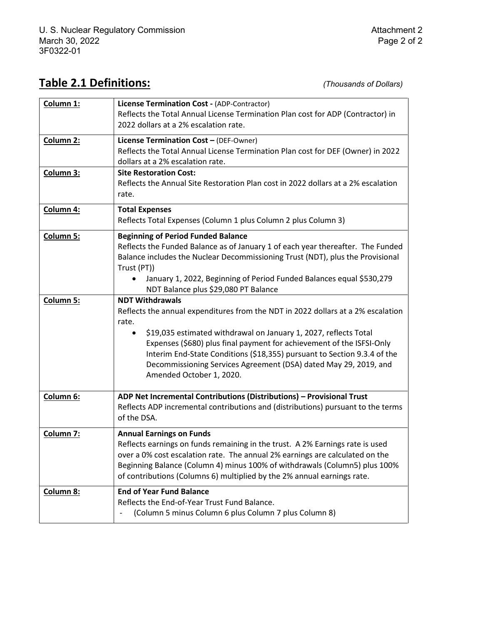## **Table 2.1 Definitions:** *(Thousands of Dollars)*

| Column <sub>1:</sub> | License Termination Cost - (ADP-Contractor)                                       |
|----------------------|-----------------------------------------------------------------------------------|
|                      | Reflects the Total Annual License Termination Plan cost for ADP (Contractor) in   |
|                      | 2022 dollars at a 2% escalation rate.                                             |
| Column 2:            | License Termination Cost - (DEF-Owner)                                            |
|                      | Reflects the Total Annual License Termination Plan cost for DEF (Owner) in 2022   |
|                      | dollars at a 2% escalation rate.                                                  |
| Column 3:            | <b>Site Restoration Cost:</b>                                                     |
|                      | Reflects the Annual Site Restoration Plan cost in 2022 dollars at a 2% escalation |
|                      | rate.                                                                             |
| Column 4:            | <b>Total Expenses</b>                                                             |
|                      | Reflects Total Expenses (Column 1 plus Column 2 plus Column 3)                    |
|                      |                                                                                   |
| Column 5:            | <b>Beginning of Period Funded Balance</b>                                         |
|                      | Reflects the Funded Balance as of January 1 of each year thereafter. The Funded   |
|                      | Balance includes the Nuclear Decommissioning Trust (NDT), plus the Provisional    |
|                      | Trust (PT))                                                                       |
|                      | January 1, 2022, Beginning of Period Funded Balances equal \$530,279<br>$\bullet$ |
|                      | NDT Balance plus \$29,080 PT Balance                                              |
| <b>Column 5:</b>     | <b>NDT Withdrawals</b>                                                            |
|                      | Reflects the annual expenditures from the NDT in 2022 dollars at a 2% escalation  |
|                      | rate.                                                                             |
|                      | \$19,035 estimated withdrawal on January 1, 2027, reflects Total<br>$\bullet$     |
|                      | Expenses (\$680) plus final payment for achievement of the ISFSI-Only             |
|                      | Interim End-State Conditions (\$18,355) pursuant to Section 9.3.4 of the          |
|                      | Decommissioning Services Agreement (DSA) dated May 29, 2019, and                  |
|                      | Amended October 1, 2020.                                                          |
|                      |                                                                                   |
| Column 6:            | ADP Net Incremental Contributions (Distributions) - Provisional Trust             |
|                      | Reflects ADP incremental contributions and (distributions) pursuant to the terms  |
|                      | of the DSA.                                                                       |
| Column 7:            | <b>Annual Earnings on Funds</b>                                                   |
|                      | Reflects earnings on funds remaining in the trust. A 2% Earnings rate is used     |
|                      | over a 0% cost escalation rate. The annual 2% earnings are calculated on the      |
|                      | Beginning Balance (Column 4) minus 100% of withdrawals (Column5) plus 100%        |
|                      | of contributions (Columns 6) multiplied by the 2% annual earnings rate.           |
| Column 8:            | <b>End of Year Fund Balance</b>                                                   |
|                      | Reflects the End-of-Year Trust Fund Balance.                                      |
|                      | (Column 5 minus Column 6 plus Column 7 plus Column 8)                             |
|                      |                                                                                   |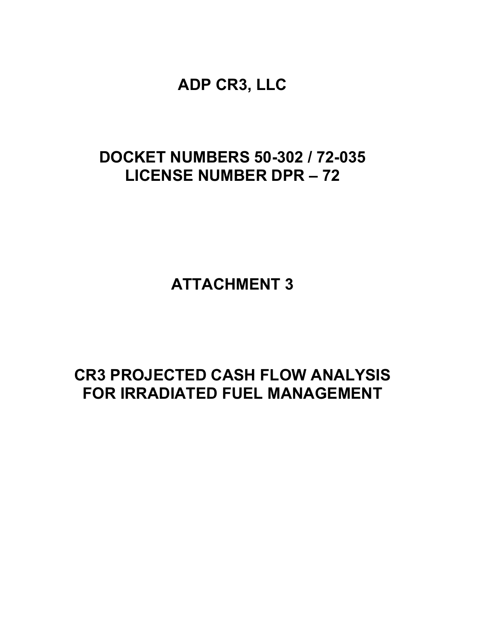# **DOCKET NUMBERS 50-302 / 72-035 LICENSE NUMBER DPR – 72**

**ATTACHMENT 3**

# **CR3 PROJECTED CASH FLOW ANALYSIS FOR IRRADIATED FUEL MANAGEMENT**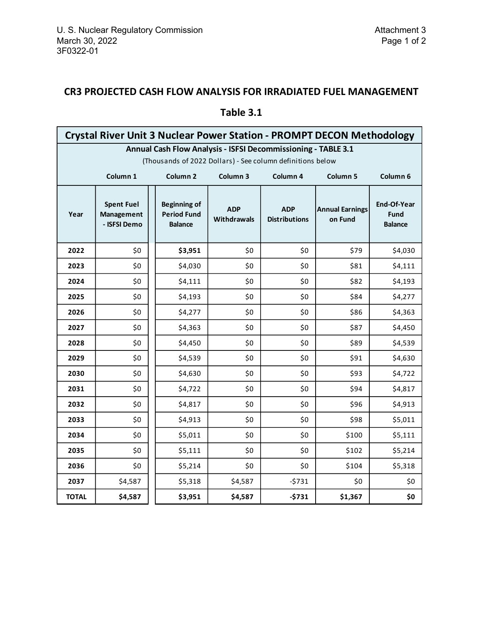## **CR3 PROJECTED CASH FLOW ANALYSIS FOR IRRADIATED FUEL MANAGEMENT**

|                                                               | <b>Crystal River Unit 3 Nuclear Power Station - PROMPT DECON Methodology</b>                          |                                                             |                           |                                    |                                   |                                              |  |
|---------------------------------------------------------------|-------------------------------------------------------------------------------------------------------|-------------------------------------------------------------|---------------------------|------------------------------------|-----------------------------------|----------------------------------------------|--|
| Annual Cash Flow Analysis - ISFSI Decommissioning - TABLE 3.1 |                                                                                                       |                                                             |                           |                                    |                                   |                                              |  |
|                                                               | (Thousands of 2022 Dollars) - See column definitions below                                            |                                                             |                           |                                    |                                   |                                              |  |
|                                                               | Column 3<br>Column 1<br>Column <sub>2</sub><br>Column 4<br>Column <sub>5</sub><br>Column <sub>6</sub> |                                                             |                           |                                    |                                   |                                              |  |
| Year                                                          | <b>Spent Fuel</b><br>Management<br>- ISFSI Demo                                                       | <b>Beginning of</b><br><b>Period Fund</b><br><b>Balance</b> | <b>ADP</b><br>Withdrawals | <b>ADP</b><br><b>Distributions</b> | <b>Annual Earnings</b><br>on Fund | End-Of-Year<br><b>Fund</b><br><b>Balance</b> |  |
| 2022                                                          | \$0                                                                                                   | \$3,951                                                     | \$0                       | \$0                                | \$79                              | \$4,030                                      |  |
| 2023                                                          | \$0                                                                                                   | \$4,030                                                     | \$0                       | \$0                                | \$81                              | \$4,111                                      |  |
| 2024                                                          | \$0                                                                                                   | \$4,111                                                     | \$0                       | \$0                                | \$82                              | \$4,193                                      |  |
| 2025                                                          | \$0                                                                                                   | \$4,193                                                     | \$0                       | \$0                                | \$84                              | \$4,277                                      |  |
| 2026                                                          | \$0                                                                                                   | \$4,277                                                     | \$0                       | \$0                                | \$86                              | \$4,363                                      |  |
| 2027                                                          | \$0                                                                                                   | \$4,363                                                     | \$0                       | \$0                                | \$87                              | \$4,450                                      |  |
| 2028                                                          | \$0                                                                                                   | \$4,450                                                     | \$0                       | \$0                                | \$89                              | \$4,539                                      |  |
| 2029                                                          | \$0                                                                                                   | \$4,539                                                     | \$0                       | \$0                                | \$91                              | \$4,630                                      |  |
| 2030                                                          | \$0                                                                                                   | \$4,630                                                     | \$0                       | \$0                                | \$93                              | \$4,722                                      |  |
| 2031                                                          | \$0                                                                                                   | \$4,722                                                     | \$0                       | \$0                                | \$94                              | \$4,817                                      |  |
| 2032                                                          | \$0                                                                                                   | \$4,817                                                     | \$0                       | \$0                                | \$96                              | \$4,913                                      |  |
| 2033                                                          | \$0                                                                                                   | \$4,913                                                     | \$0                       | \$0                                | \$98                              | \$5,011                                      |  |
| 2034                                                          | \$0                                                                                                   | \$5,011                                                     | \$0                       | \$0                                | \$100                             | \$5,111                                      |  |
| 2035                                                          | \$0                                                                                                   | \$5,111                                                     | \$0                       | \$0                                | \$102                             | \$5,214                                      |  |
| 2036                                                          | \$0                                                                                                   | \$5,214                                                     | \$0\$                     | \$0                                | \$104                             | \$5,318                                      |  |
| 2037                                                          | \$4,587                                                                                               | \$5,318                                                     | \$4,587                   | $-5731$                            | \$0                               | \$0                                          |  |
| <b>TOTAL</b>                                                  | \$4,587                                                                                               | \$3,951                                                     | \$4,587                   | $-5731$                            | \$1,367                           | \$0                                          |  |

### **Table 3.1**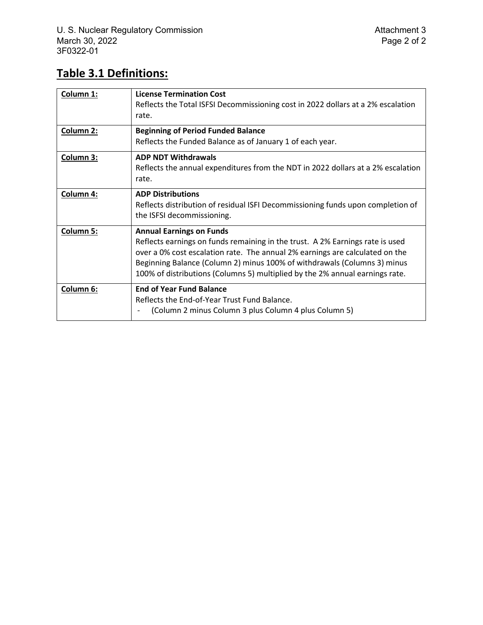## **Table 3.1 Definitions:**

| Column 1:        | <b>License Termination Cost</b><br>Reflects the Total ISFSI Decommissioning cost in 2022 dollars at a 2% escalation<br>rate.                                                                                                                                                                                                                                 |
|------------------|--------------------------------------------------------------------------------------------------------------------------------------------------------------------------------------------------------------------------------------------------------------------------------------------------------------------------------------------------------------|
| Column 2:        | <b>Beginning of Period Funded Balance</b><br>Reflects the Funded Balance as of January 1 of each year.                                                                                                                                                                                                                                                       |
| Column 3:        | <b>ADP NDT Withdrawals</b><br>Reflects the annual expenditures from the NDT in 2022 dollars at a 2% escalation<br>rate.                                                                                                                                                                                                                                      |
| Column 4:        | <b>ADP Distributions</b><br>Reflects distribution of residual ISFI Decommissioning funds upon completion of<br>the ISFSI decommissioning.                                                                                                                                                                                                                    |
| <b>Column 5:</b> | <b>Annual Earnings on Funds</b><br>Reflects earnings on funds remaining in the trust. A 2% Earnings rate is used<br>over a 0% cost escalation rate. The annual 2% earnings are calculated on the<br>Beginning Balance (Column 2) minus 100% of withdrawals (Columns 3) minus<br>100% of distributions (Columns 5) multiplied by the 2% annual earnings rate. |
| Column 6:        | <b>End of Year Fund Balance</b><br>Reflects the End-of-Year Trust Fund Balance.<br>(Column 2 minus Column 3 plus Column 4 plus Column 5)<br>$\overline{\phantom{a}}$                                                                                                                                                                                         |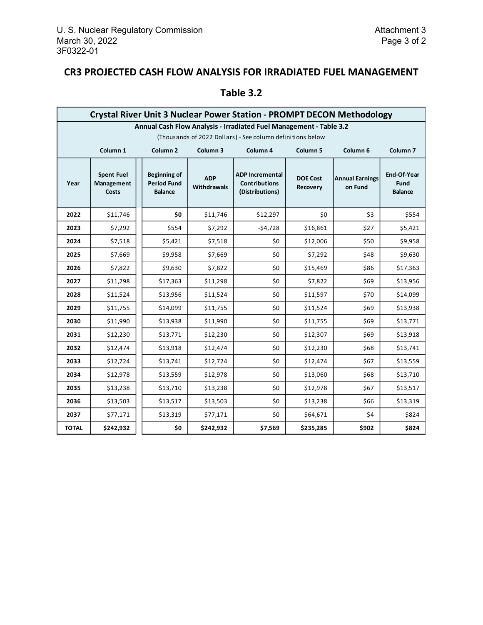## **CR3 PROJECTED CASH FLOW ANALYSIS FOR IRRADIATED FUEL MANAGEMENT**

|                                                                    | <b>Crystal River Unit 3 Nuclear Power Station - PROMPT DECON Methodology</b>                                     |  |                                                      |                           |                                                                   |                             |                                   |                                              |
|--------------------------------------------------------------------|------------------------------------------------------------------------------------------------------------------|--|------------------------------------------------------|---------------------------|-------------------------------------------------------------------|-----------------------------|-----------------------------------|----------------------------------------------|
| Annual Cash Flow Analysis - Irradiated Fuel Management - Table 3.2 |                                                                                                                  |  |                                                      |                           |                                                                   |                             |                                   |                                              |
|                                                                    | (Thousands of 2022 Dollars) - See column definitions below                                                       |  |                                                      |                           |                                                                   |                             |                                   |                                              |
|                                                                    | Column <sub>1</sub><br>Column <sub>2</sub><br>Column 3<br>Column 4<br>Column <sub>5</sub><br>Column <sub>6</sub> |  |                                                      |                           |                                                                   |                             |                                   | Column <sub>7</sub>                          |
| Year                                                               | <b>Spent Fuel</b><br>Management<br>Costs                                                                         |  | Beginning of<br><b>Period Fund</b><br><b>Balance</b> | <b>ADP</b><br>Withdrawals | <b>ADP Incremental</b><br><b>Contributions</b><br>(Distributions) | <b>DOE Cost</b><br>Recovery | <b>Annual Earnings</b><br>on Fund | End-Of-Year<br><b>Fund</b><br><b>Balance</b> |
| 2022                                                               | \$11,746                                                                                                         |  | \$0                                                  | \$11,746                  | \$12,297                                                          | \$0                         | \$3                               | \$554                                        |
| 2023                                                               | \$7,292                                                                                                          |  | \$554                                                | \$7,292                   | $-54,728$                                                         | \$16,861                    | \$27                              | \$5,421                                      |
| 2024                                                               | \$7,518                                                                                                          |  | \$5,421                                              | \$7,518                   | \$0                                                               | \$12,006                    | \$50                              | \$9,958                                      |
| 2025                                                               | \$7,669                                                                                                          |  | \$9,958                                              | \$7,669                   | \$0                                                               | \$7,292                     | \$48                              | \$9,630                                      |
| 2026                                                               | \$7,822                                                                                                          |  | \$9,630                                              | \$7,822                   | \$0                                                               | \$15,469                    | \$86                              | \$17,363                                     |
| 2027                                                               | \$11,298                                                                                                         |  | \$17,363                                             | \$11,298                  | \$0                                                               | \$7,822                     | \$69                              | \$13,956                                     |
| 2028                                                               | \$11,524                                                                                                         |  | \$13,956                                             | \$11,524                  | \$0                                                               | \$11,597                    | \$70                              | \$14,099                                     |
| 2029                                                               | \$11,755                                                                                                         |  | \$14,099                                             | \$11,755                  | \$0                                                               | \$11,524                    | \$69                              | \$13,938                                     |
| 2030                                                               | \$11,990                                                                                                         |  | \$13,938                                             | \$11,990                  | \$0                                                               | \$11,755                    | \$69                              | \$13,771                                     |
| 2031                                                               | \$12,230                                                                                                         |  | \$13,771                                             | \$12,230                  | \$0                                                               | \$12,307                    | \$69                              | \$13,918                                     |
| 2032                                                               | \$12,474                                                                                                         |  | \$13,918                                             | \$12,474                  | \$0                                                               | \$12,230                    | \$68                              | \$13,741                                     |
| 2033                                                               | \$12,724                                                                                                         |  | \$13,741                                             | \$12,724                  | \$0                                                               | \$12,474                    | \$67                              | \$13,559                                     |
| 2034                                                               | \$12,978                                                                                                         |  | \$13,559                                             | \$12,978                  | \$0                                                               | \$13,060                    | \$68                              | \$13,710                                     |
| 2035                                                               | \$13,238                                                                                                         |  | \$13,710                                             | \$13,238                  | \$0                                                               | \$12,978                    | \$67                              | \$13,517                                     |
| 2036                                                               | \$13,503                                                                                                         |  | \$13,517                                             | \$13,503                  | \$0                                                               | \$13,238                    | \$66                              | \$13,319                                     |
| 2037                                                               | \$77,171                                                                                                         |  | \$13,319                                             | \$77,171                  | \$0                                                               | \$64,671                    | \$4                               | \$824                                        |
| <b>TOTAL</b>                                                       | \$242,932                                                                                                        |  | \$0                                                  | \$242,932                 | \$7,569                                                           | \$235,285                   | \$902                             | \$824                                        |

## **Table 3.2**